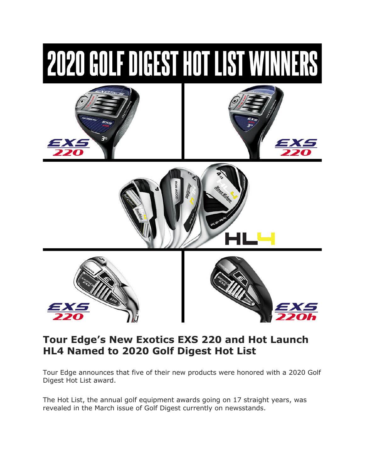

# **Tour Edge's New Exotics EXS 220 and Hot Launch HL4 Named to 2020 Golf Digest Hot List**

Tour Edge announces that five of their new products were honored with a 2020 Golf Digest Hot List award.

The Hot List, the annual golf equipment awards going on 17 straight years, was revealed in the March issue of Golf Digest currently on newsstands.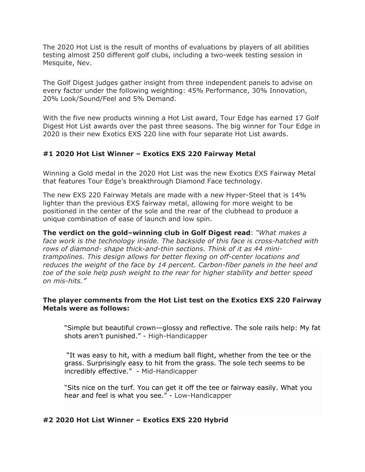The 2020 Hot List is the result of months of evaluations by players of all abilities testing almost 250 different golf clubs, including a two-week testing session in Mesquite, Nev.

The Golf Digest judges gather insight from three independent panels to advise on every factor under the following weighting: 45% Performance, 30% Innovation, 20% Look/Sound/Feel and 5% Demand.

With the five new products winning a Hot List award, Tour Edge has earned 17 Golf Digest Hot List awards over the past three seasons. The big winner for Tour Edge in 2020 is their new Exotics EXS 220 line with four separate Hot List awards.

# **#1 2020 Hot List Winner – Exotics EXS 220 Fairway Metal**

Winning a Gold medal in the 2020 Hot List was the new Exotics EXS Fairway Metal that features Tour Edge's breakthrough Diamond Face technology.

The new EXS 220 Fairway Metals are made with a new Hyper-Steel that is 14% lighter than the previous EXS fairway metal, allowing for more weight to be positioned in the center of the sole and the rear of the clubhead to produce a unique combination of ease of launch and low spin.

**The verdict on the gold–winning club in Golf Digest read**: *"What makes a face work is the technology inside. The backside of this face is cross-hatched with rows of diamond- shape thick-and-thin sections. Think of it as 44 minitrampolines. This design allows for better flexing on off-center locations and reduces the weight of the face by 14 percent. Carbon-fiber panels in the heel and toe of the sole help push weight to the rear for higher stability and better speed on mis-hits."*

## **The player comments from the Hot List test on the Exotics EXS 220 Fairway Metals were as follows:**

"Simple but beautiful crown—glossy and reflective. The sole rails help: My fat shots aren't punished." - High-Handicapper

"It was easy to hit, with a medium ball flight, whether from the tee or the grass. Surprisingly easy to hit from the grass. The sole tech seems to be incredibly effective." - Mid-Handicapper

"Sits nice on the turf. You can get it off the tee or fairway easily. What you hear and feel is what you see." - Low-Handicapper

# **#2 2020 Hot List Winner – Exotics EXS 220 Hybrid**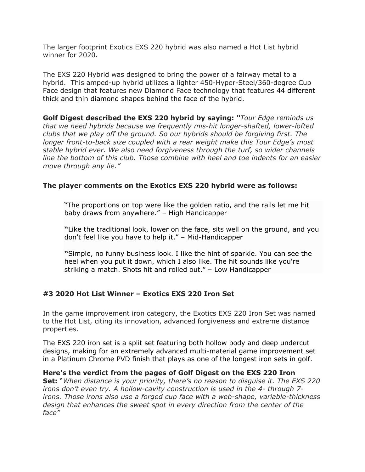The larger footprint Exotics EXS 220 hybrid was also named a Hot List hybrid winner for 2020.

The EXS 220 Hybrid was designed to bring the power of a fairway metal to a hybrid. This amped-up hybrid utilizes a lighter 450-Hyper-Steel/360-degree Cup Face design that features new Diamond Face technology that features 44 different thick and thin diamond shapes behind the face of the hybrid.

**Golf Digest described the EXS 220 hybrid by saying:** *"Tour Edge reminds us that we need hybrids because we frequently mis-hit longer-shafted, lower-lofted clubs that we play off the ground. So our hybrids should be forgiving first. The longer front-to-back size coupled with a rear weight make this Tour Edge's most stable hybrid ever. We also need forgiveness through the turf, so wider channels line the bottom of this club. Those combine with heel and toe indents for an easier move through any lie."*

# **The player comments on the Exotics EXS 220 hybrid were as follows:**

"The proportions on top were like the golden ratio, and the rails let me hit baby draws from anywhere." – High Handicapper

**"**Like the traditional look, lower on the face, sits well on the ground, and you don't feel like you have to help it." – Mid-Handicapper

**"**Simple, no funny business look. I like the hint of sparkle. You can see the heel when you put it down, which I also like. The hit sounds like you're striking a match. Shots hit and rolled out." – Low Handicapper

# **#3 2020 Hot List Winner – Exotics EXS 220 Iron Set**

In the game improvement iron category, the Exotics EXS 220 Iron Set was named to the Hot List, citing its innovation, advanced forgiveness and extreme distance properties.

The EXS 220 iron set is a split set featuring both hollow body and deep undercut designs, making for an extremely advanced multi-material game improvement set in a Platinum Chrome PVD finish that plays as one of the longest iron sets in golf.

#### **Here's the verdict from the pages of Golf Digest on the EXS 220 Iron**

**Set:** "*When distance is your priority, there's no reason to disguise it. The EXS 220 irons don't even try. A hollow-cavity construction is used in the 4- through 7 irons. Those irons also use a forged cup face with a web-shape, variable-thickness design that enhances the sweet spot in every direction from the center of the face"*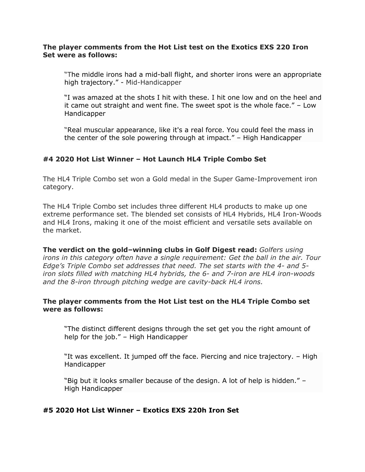## **The player comments from the Hot List test on the Exotics EXS 220 Iron Set were as follows:**

"The middle irons had a mid-ball flight, and shorter irons were an appropriate high trajectory." - Mid-Handicapper

"I was amazed at the shots I hit with these. I hit one low and on the heel and it came out straight and went fine. The sweet spot is the whole face." – Low Handicapper

"Real muscular appearance, like it's a real force. You could feel the mass in the center of the sole powering through at impact." – High Handicapper

# **#4 2020 Hot List Winner – Hot Launch HL4 Triple Combo Set**

The HL4 Triple Combo set won a Gold medal in the Super Game-Improvement iron category.

The HL4 Triple Combo set includes three different HL4 products to make up one extreme performance set. The blended set consists of HL4 Hybrids, HL4 Iron-Woods and HL4 Irons, making it one of the moist efficient and versatile sets available on the market.

**The verdict on the gold–winning clubs in Golf Digest read:** *Golfers using irons in this category often have a single requirement: Get the ball in the air. Tour Edge's Triple Combo set addresses that need. The set starts with the 4- and 5 iron slots filled with matching HL4 hybrids, the 6- and 7-iron are HL4 iron-woods and the 8-iron through pitching wedge are cavity-back HL4 irons.*

## **The player comments from the Hot List test on the HL4 Triple Combo set were as follows:**

"The distinct different designs through the set get you the right amount of help for the job." – High Handicapper

"It was excellent. It jumped off the face. Piercing and nice trajectory. – High Handicapper

"Big but it looks smaller because of the design. A lot of help is hidden." – High Handicapper

# **#5 2020 Hot List Winner – Exotics EXS 220h Iron Set**